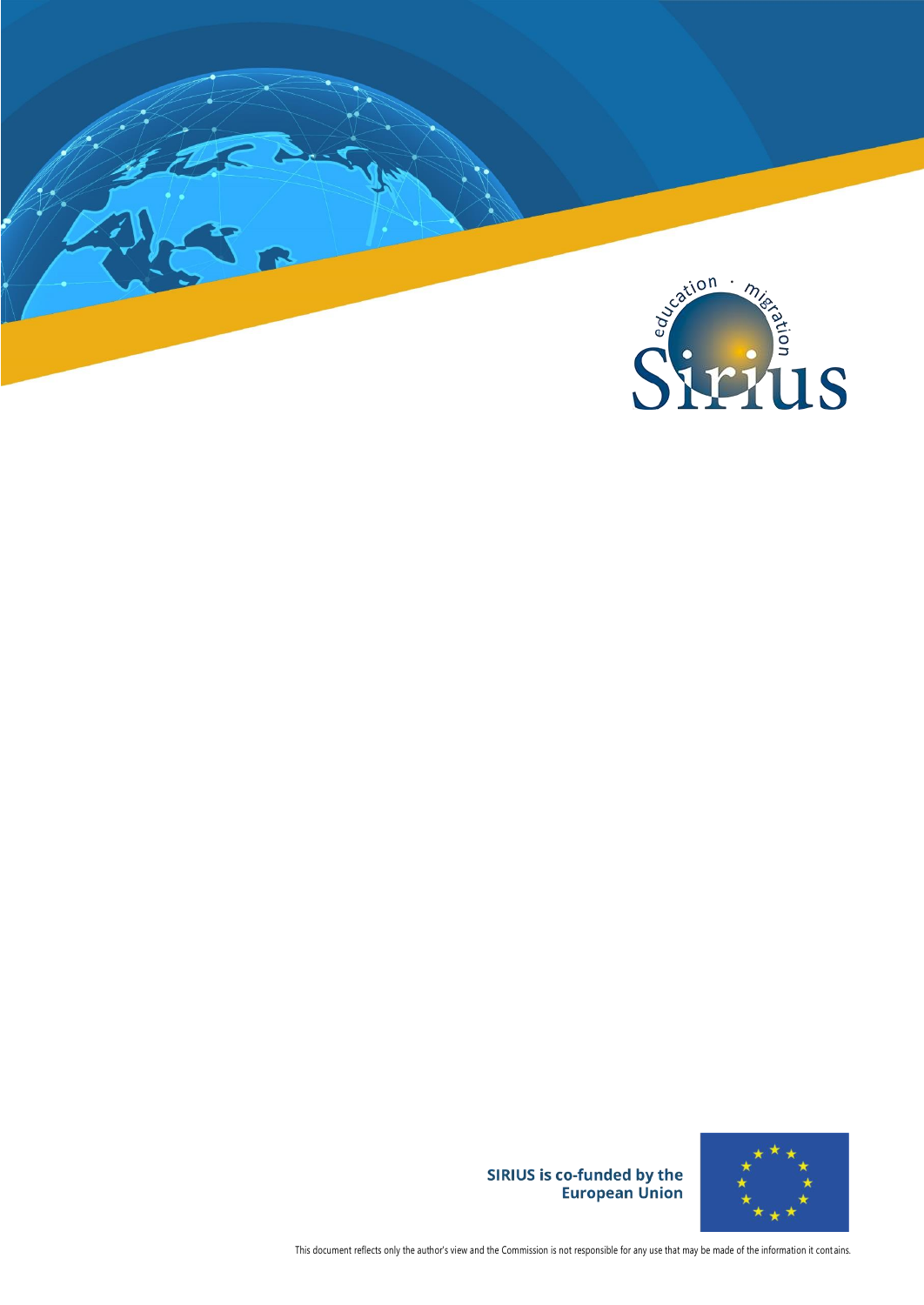



SIRIUS is co-funded by the<br>European Union

This document reflects only the author's view and the Commission is not responsible for any use that may be made of the information it cont ains.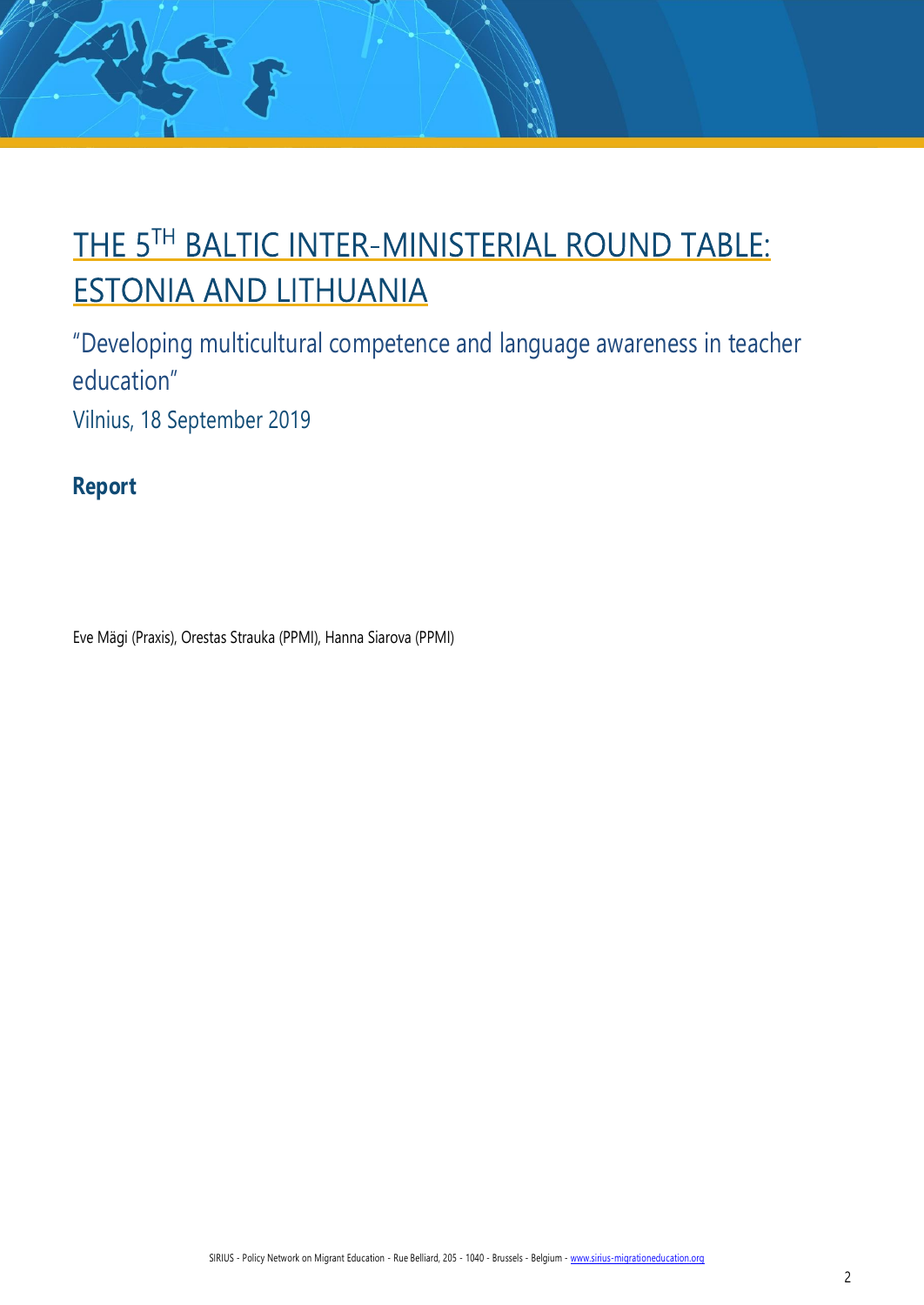# THE 5TH BALTIC INTER-MINISTERIAL ROUND TABLE: **ESTONIA AND LITHUANIA**

"Developing multicultural competence and language awareness in teacher education" Vilnius, 18 September 2019

**Report**

孙子

Eve Mägi (Praxis), Orestas Strauka (PPMI), Hanna Siarova (PPMI)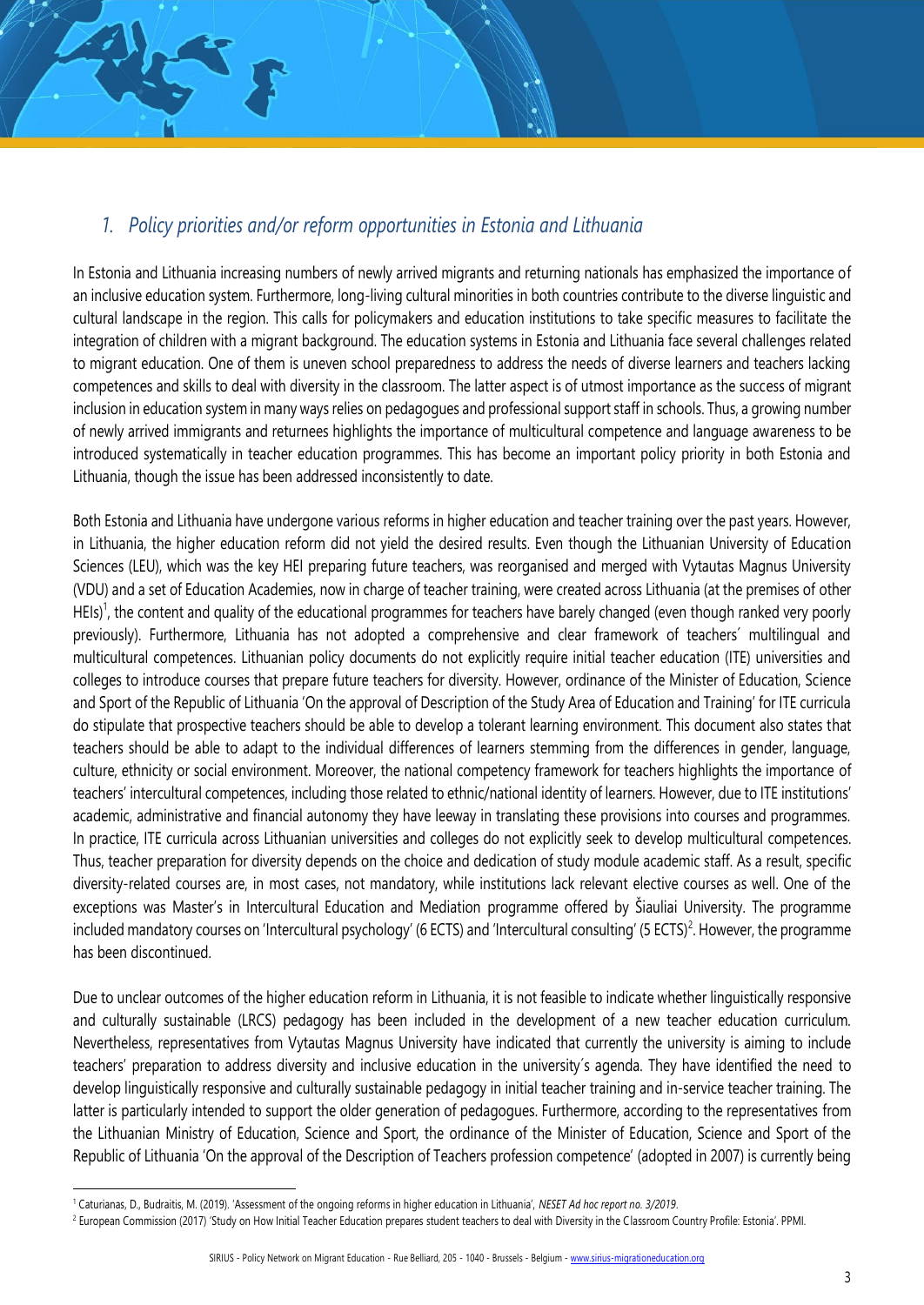# *1. Policy priorities and/or reform opportunities in Estonia and Lithuania*

In Estonia and Lithuania increasing numbers of newly arrived migrants and returning nationals has emphasized the importance of an inclusive education system. Furthermore, long-living cultural minorities in both countries contribute to the diverse linguistic and cultural landscape in the region. This calls for policymakers and education institutions to take specific measures to facilitate the integration of children with a migrant background. The education systems in Estonia and Lithuania face several challenges related to migrant education. One of them is uneven school preparedness to address the needs of diverse learners and teachers lacking competences and skills to deal with diversity in the classroom. The latter aspect is of utmost importance as the success of migrant inclusion in education system in many ways relies on pedagogues and professional support staff in schools. Thus, a growing number of newly arrived immigrants and returnees highlights the importance of multicultural competence and language awareness to be introduced systematically in teacher education programmes. This has become an important policy priority in both Estonia and Lithuania, though the issue has been addressed inconsistently to date.

Both Estonia and Lithuania have undergone various reforms in higher education and teacher training over the past years. However, in Lithuania, the higher education reform did not yield the desired results. Even though the Lithuanian University of Education Sciences (LEU), which was the key HEI preparing future teachers, was reorganised and merged with Vytautas Magnus University (VDU) and a set of Education Academies, now in charge of teacher training, were created across Lithuania (at the premises of other HEIs)<sup>1</sup>, the content and quality of the educational programmes for teachers have barely changed (even though ranked very poorly previously). Furthermore, Lithuania has not adopted a comprehensive and clear framework of teachers´ multilingual and multicultural competences. Lithuanian policy documents do not explicitly require initial teacher education (ITE) universities and colleges to introduce courses that prepare future teachers for diversity. However, ordinance of the Minister of Education, Science and Sport of the Republic of Lithuania 'On the approval of Description of the Study Area of Education and Training' for ITE curricula do stipulate that prospective teachers should be able to develop a tolerant learning environment. This document also states that teachers should be able to adapt to the individual differences of learners stemming from the differences in gender, language, culture, ethnicity or social environment. Moreover, the national competency framework for teachers highlights the importance of teachers' intercultural competences, including those related to ethnic/national identity of learners. However, due to ITE institutions' academic, administrative and financial autonomy they have leeway in translating these provisions into courses and programmes. In practice, ITE curricula across Lithuanian universities and colleges do not explicitly seek to develop multicultural competences. Thus, teacher preparation for diversity depends on the choice and dedication of study module academic staff. As a result, specific diversity-related courses are, in most cases, not mandatory, while institutions lack relevant elective courses as well. One of the exceptions was Master's in Intercultural Education and Mediation programme offered by Šiauliai University. The programme included mandatory courses on 'Intercultural psychology' (6 ECTS) and 'Intercultural consulting' (5 ECTS)<sup>2</sup>. However, the programme has been discontinued.

Due to unclear outcomes of the higher education reform in Lithuania, it is not feasible to indicate whether linguistically responsive and culturally sustainable (LRCS) pedagogy has been included in the development of a new teacher education curriculum. Nevertheless, representatives from Vytautas Magnus University have indicated that currently the university is aiming to include teachers' preparation to address diversity and inclusive education in the university´s agenda. They have identified the need to develop linguistically responsive and culturally sustainable pedagogy in initial teacher training and in-service teacher training. The latter is particularly intended to support the older generation of pedagogues. Furthermore, according to the representatives from the Lithuanian Ministry of Education, Science and Sport, the ordinance of the Minister of Education, Science and Sport of the Republic of Lithuania 'On the approval of the Description of Teachers profession competence' (adopted in 2007) is currently being

<sup>1</sup> Caturianas, D., Budraitis, M. (2019). 'Assessment of the ongoing reforms in higher education in Lithuania', *NESET Ad hoc report no. 3/2019*.

<sup>&</sup>lt;sup>2</sup> European Commission (2017) 'Study on How Initial Teacher Education prepares student teachers to deal with Diversity in the Classroom Country Profile: Estonia'. PPMI.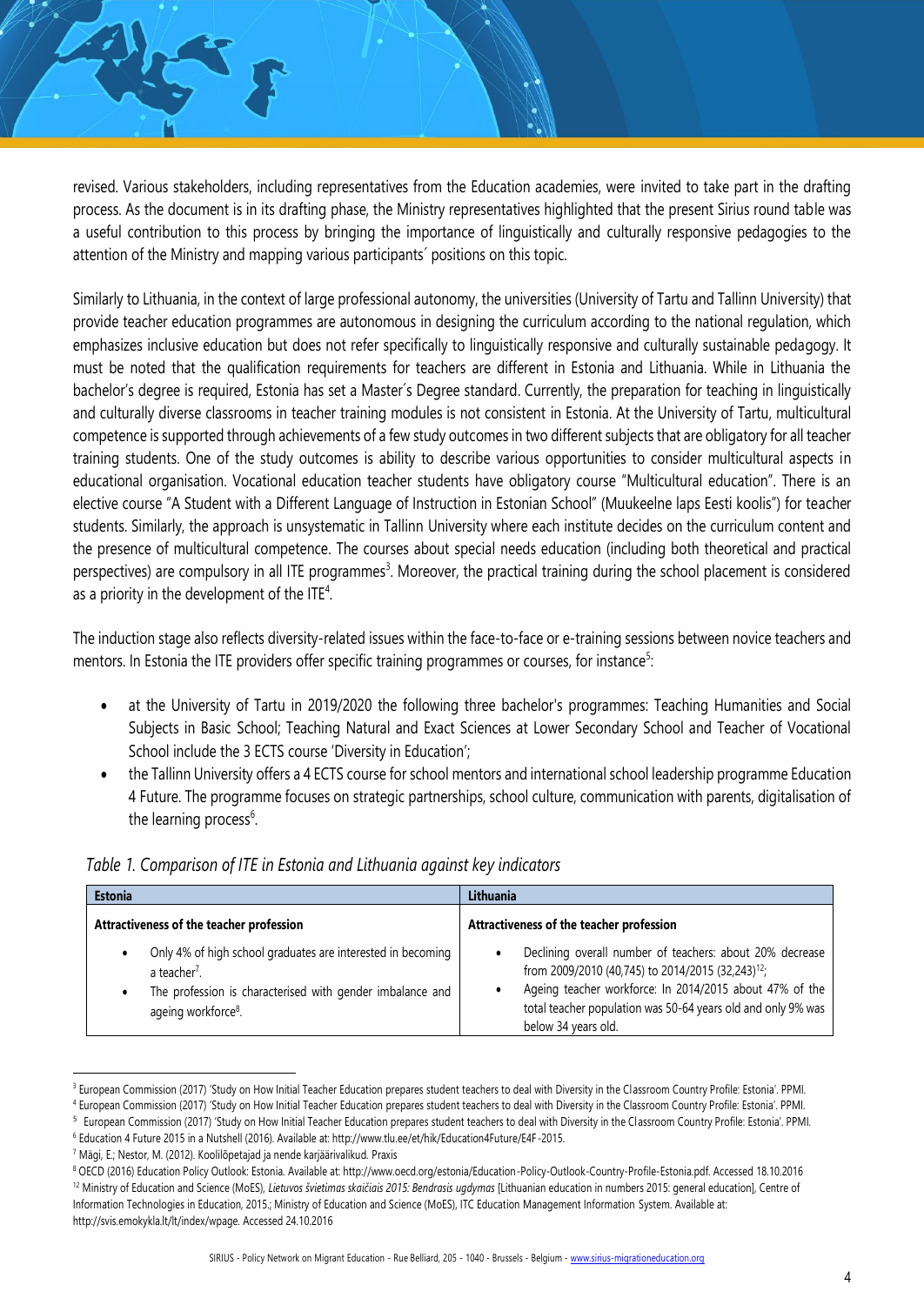revised. Various stakeholders, including representatives from the Education academies, were invited to take part in the drafting process. As the document is in its drafting phase, the Ministry representatives highlighted that the present Sirius round table was a useful contribution to this process by bringing the importance of linguistically and culturally responsive pedagogies to the attention of the Ministry and mapping various participants´ positions on this topic.

Similarly to Lithuania, in the context of large professional autonomy, the universities (University of Tartu and Tallinn University) that provide teacher education programmes are autonomous in designing the curriculum according to the national regulation, which emphasizes inclusive education but does not refer specifically to linguistically responsive and culturally sustainable pedagogy. It must be noted that the qualification requirements for teachers are different in Estonia and Lithuania. While in Lithuania the bachelor's degree is required, Estonia has set a Master´s Degree standard. Currently, the preparation for teaching in linguistically and culturally diverse classrooms in teacher training modules is not consistent in Estonia. At the University of Tartu, multicultural competence is supported through achievements of a few study outcomes in two different subjects that are obligatory for all teacher training students. One of the study outcomes is ability to describe various opportunities to consider multicultural aspects in educational organisation. Vocational education teacher students have obligatory course "Multicultural education". There is an elective course "A Student with a Different Language of Instruction in Estonian School" (Muukeelne laps Eesti koolis") for teacher students. Similarly, the approach is unsystematic in Tallinn University where each institute decides on the curriculum content and the presence of multicultural competence. The courses about special needs education (including both theoretical and practical perspectives) are compulsory in all ITE programmes<sup>3</sup>. Moreover, the practical training during the school placement is considered as a priority in the development of the ITE<sup>4</sup>.

The induction stage also reflects diversity-related issues within the face-to-face or e-training sessions between novice teachers and mentors. In Estonia the ITE providers offer specific training programmes or courses, for instance<sup>5</sup>:

- at the University of Tartu in 2019/2020 the following three bachelor's programmes: Teaching Humanities and Social Subjects in Basic School; Teaching Natural and Exact Sciences at Lower Secondary School and Teacher of Vocational School include the 3 ECTS course 'Diversity in Education';
- the Tallinn University offers a 4 ECTS course for school mentors and international school leadership programme Education 4 Future. The programme focuses on strategic partnerships, school culture, communication with parents, digitalisation of the learning process<sup>6</sup>.

| <b>Estonia</b>                                                                                                                                                                          | Lithuania                                                                                                                                                                                                                                                                   |
|-----------------------------------------------------------------------------------------------------------------------------------------------------------------------------------------|-----------------------------------------------------------------------------------------------------------------------------------------------------------------------------------------------------------------------------------------------------------------------------|
| Attractiveness of the teacher profession                                                                                                                                                | Attractiveness of the teacher profession                                                                                                                                                                                                                                    |
| Only 4% of high school graduates are interested in becoming<br>a teacher <sup>7</sup> .<br>The profession is characterised with gender imbalance and<br>ageing workforce <sup>8</sup> . | Declining overall number of teachers: about 20% decrease<br>from 2009/2010 (40,745) to 2014/2015 (32,243) <sup>12</sup> ;<br>Ageing teacher workforce: In 2014/2015 about 47% of the<br>total teacher population was 50-64 years old and only 9% was<br>below 34 years old. |

|  |  |  |  | Table 1. Comparison of ITE in Estonia and Lithuania against key indicators |
|--|--|--|--|----------------------------------------------------------------------------|
|  |  |  |  |                                                                            |

<sup>&</sup>lt;sup>3</sup> European Commission (2017) 'Study on How Initial Teacher Education prepares student teachers to deal with Diversity in the Classroom Country Profile: Estonia'. PPMI.

<sup>4</sup> European Commission (2017) 'Study on How Initial Teacher Education prepares student teachers to deal with Diversity in the Classroom Country Profile: Estonia'. PPMI. 5 European Commission (2017) 'Study on How Initial Teacher Education prepares student teachers to deal with Diversity in the Classroom Country Profile: Estonia'. PPMI.

<sup>6</sup> Education 4 Future 2015 in a Nutshell (2016). Available at: http://www.tlu.ee/et/hik/Education4Future/E4F-2015.

<sup>7</sup> Mägi, E.; Nestor, M. (2012). Koolilõpetajad ja nende karjäärivalikud. Praxis

<sup>8</sup> OECD (2016) Education Policy Outlook: Estonia. Available at: http://www.oecd.org/estonia/Education-Policy-Outlook-Country-Profile-Estonia.pdf. Accessed 18.10.2016 <sup>12</sup> Ministry of Education and Science (MoES), *Lietuvos švietimas skaičiais 2015: Bendrasis ugdymas* [Lithuanian education in numbers 2015: general education], Centre of Information Technologies in Education, 2015.; Ministry of Education and Science (MoES), ITC Education Management Information System. Available at: http://svis.emokykla.lt/lt/index/wpage. Accessed 24.10.2016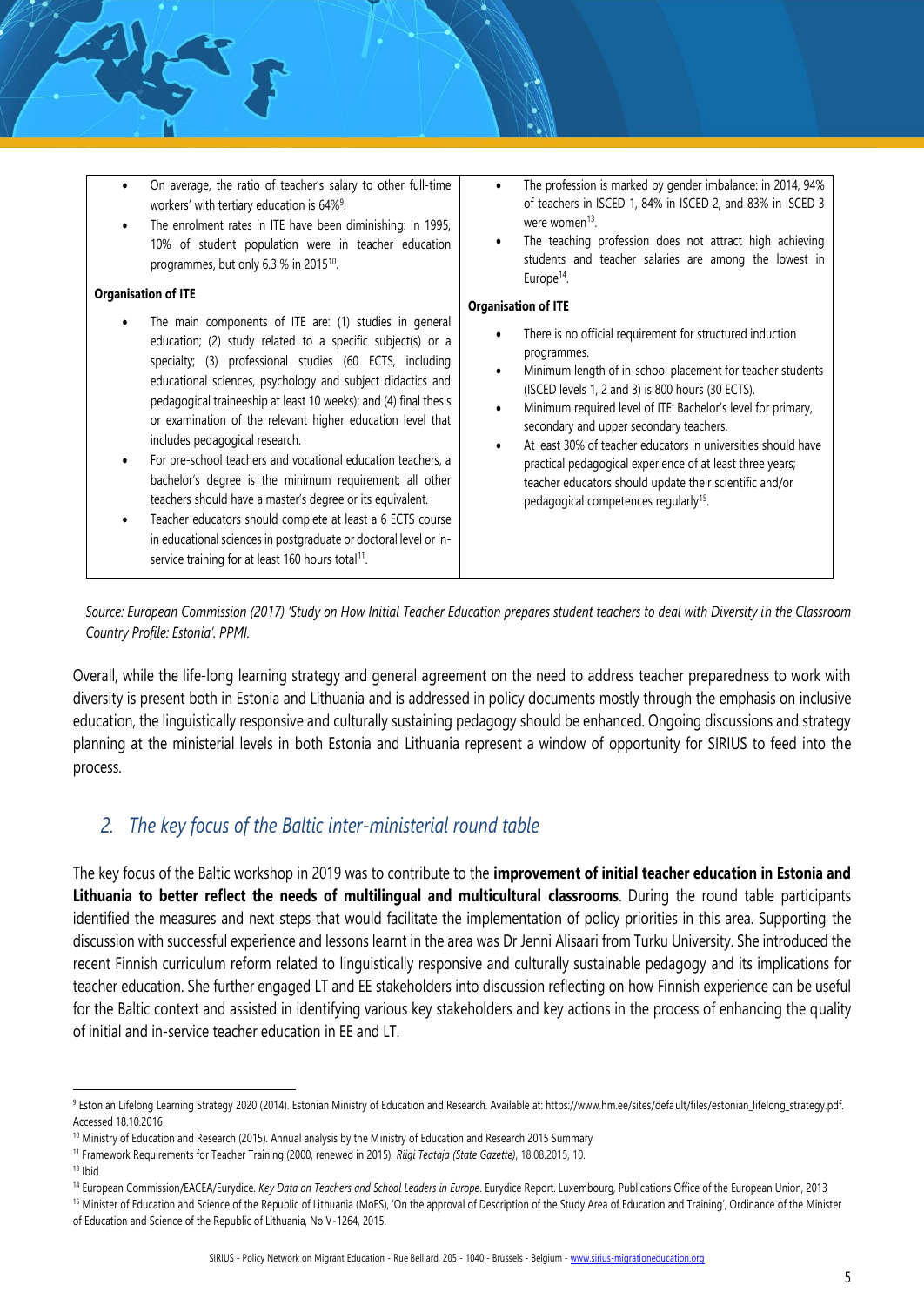- On average, the ratio of teacher's salary to other full-time workers' with tertiary education is 64%<sup>9</sup>.
- The enrolment rates in ITE have been diminishing: In 1995, 10% of student population were in teacher education programmes, but only 6.3 % in 2015<sup>10</sup>.

#### **Organisation of ITE**

- The main components of ITE are: (1) studies in general education; (2) study related to a specific subject(s) or a specialty; (3) professional studies (60 ECTS, including educational sciences, psychology and subject didactics and pedagogical traineeship at least 10 weeks); and (4) final thesis or examination of the relevant higher education level that includes pedagogical research.
- For pre-school teachers and vocational education teachers, a bachelor's degree is the minimum requirement; all other teachers should have a master's degree or its equivalent.
- Teacher educators should complete at least a 6 ECTS course in educational sciences in postgraduate or doctoral level or inservice training for at least 160 hours total<sup>11</sup>.
- The profession is marked by gender imbalance: in 2014, 94% of teachers in ISCED 1, 84% in ISCED 2, and 83% in ISCED 3 were women<sup>13</sup>.
- The teaching profession does not attract high achieving students and teacher salaries are among the lowest in Europe<sup>14</sup>.

### **Organisation of ITE**

- There is no official requirement for structured induction programmes.
- Minimum length of in-school placement for teacher students (ISCED levels 1, 2 and 3) is 800 hours (30 ECTS).
- Minimum required level of ITE: Bachelor's level for primary, secondary and upper secondary teachers.
- At least 30% of teacher educators in universities should have practical pedagogical experience of at least three years; teacher educators should update their scientific and/or pedagogical competences regularly<sup>15</sup>.

*Source: European Commission (2017) 'Study on How Initial Teacher Education prepares student teachers to deal with Diversity in the Classroom Country Profile: Estonia'. PPMI.*

Overall, while the life-long learning strategy and general agreement on the need to address teacher preparedness to work with diversity is present both in Estonia and Lithuania and is addressed in policy documents mostly through the emphasis on inclusive education, the linguistically responsive and culturally sustaining pedagogy should be enhanced. Ongoing discussions and strategy planning at the ministerial levels in both Estonia and Lithuania represent a window of opportunity for SIRIUS to feed into the process.

# *2. The key focus of the Baltic inter-ministerial round table*

The key focus of the Baltic workshop in 2019 was to contribute to the **improvement of initial teacher education in Estonia and Lithuania to better reflect the needs of multilingual and multicultural classrooms**. During the round table participants identified the measures and next steps that would facilitate the implementation of policy priorities in this area. Supporting the discussion with successful experience and lessons learnt in the area was Dr Jenni Alisaari from Turku University. She introduced the recent Finnish curriculum reform related to linguistically responsive and culturally sustainable pedagogy and its implications for teacher education. She further engaged LT and EE stakeholders into discussion reflecting on how Finnish experience can be useful for the Baltic context and assisted in identifying various key stakeholders and key actions in the process of enhancing the quality of initial and in-service teacher education in EE and LT.

 $13$  Ibid

<sup>9</sup> Estonian Lifelong Learning Strategy 2020 (2014). Estonian Ministry of Education and Research. Available at: https://www.hm.ee/sites/default/files/estonian\_lifelong\_strategy.pdf. Accessed 18.10.2016

<sup>&</sup>lt;sup>10</sup> Ministry of Education and Research (2015). Annual analysis by the Ministry of Education and Research 2015 Summary

<sup>11</sup> Framework Requirements for Teacher Training (2000, renewed in 2015). *Riigi Teataja (State Gazette)*, 18.08.2015, 10.

<sup>14</sup> European Commission/EACEA/Eurydice. *Key Data on Teachers and School Leaders in Europe*. Eurydice Report. Luxembourg, Publications Office of the European Union, 2013

<sup>&</sup>lt;sup>15</sup> Minister of Education and Science of the Republic of Lithuania (MoES), 'On the approval of Description of the Study Area of Education and Training', Ordinance of the Minister of Education and Science of the Republic of Lithuania, No V-1264, 2015.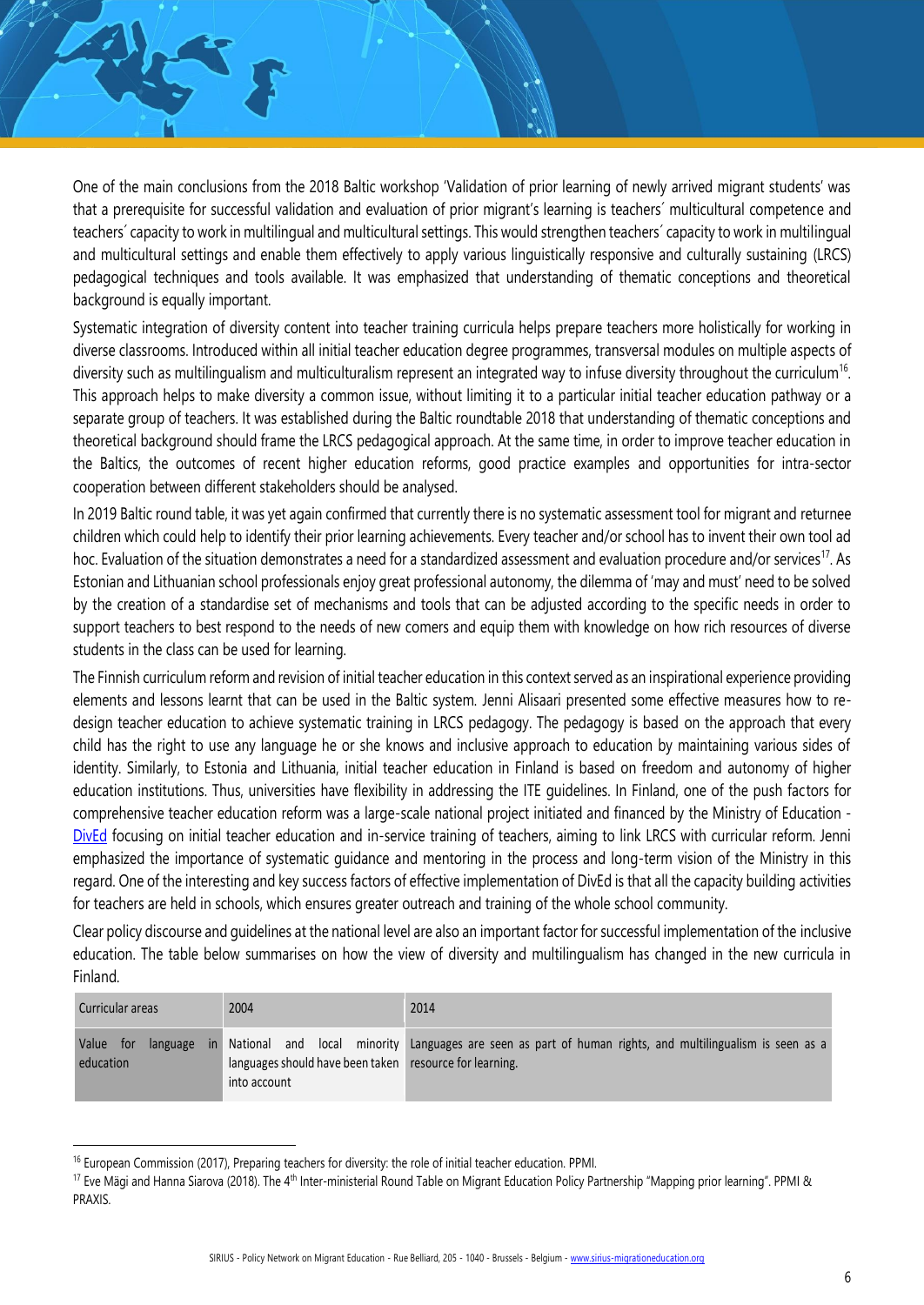One of the main conclusions from the 2018 Baltic workshop 'Validation of prior learning of newly arrived migrant students' was that a prerequisite for successful validation and evaluation of prior migrant's learning is teachers´ multicultural competence and teachers´ capacity to work in multilingual and multicultural settings. This would strengthen teachers´ capacity to work in multilingual and multicultural settings and enable them effectively to apply various linguistically responsive and culturally sustaining (LRCS) pedagogical techniques and tools available. It was emphasized that understanding of thematic conceptions and theoretical background is equally important.

Systematic integration of diversity content into teacher training curricula helps prepare teachers more holistically for working in diverse classrooms. Introduced within all initial teacher education degree programmes, transversal modules on multiple aspects of diversity such as multilingualism and multiculturalism represent an integrated way to infuse diversity throughout the curriculum<sup>16</sup>. This approach helps to make diversity a common issue, without limiting it to a particular initial teacher education pathway or a separate group of teachers. It was established during the Baltic roundtable 2018 that understanding of thematic conceptions and theoretical background should frame the LRCS pedagogical approach. At the same time, in order to improve teacher education in the Baltics, the outcomes of recent higher education reforms, good practice examples and opportunities for intra-sector cooperation between different stakeholders should be analysed.

In 2019 Baltic round table, it was yet again confirmed that currently there is no systematic assessment tool for migrant and returnee children which could help to identify their prior learning achievements. Every teacher and/or school has to invent their own tool ad hoc. Evaluation of the situation demonstrates a need for a standardized assessment and evaluation procedure and/or services<sup>17</sup>. As Estonian and Lithuanian school professionals enjoy great professional autonomy, the dilemma of 'may and must' need to be solved by the creation of a standardise set of mechanisms and tools that can be adjusted according to the specific needs in order to support teachers to best respond to the needs of new comers and equip them with knowledge on how rich resources of diverse students in the class can be used for learning.

The Finnish curriculum reform and revision of initial teacher education in this context served as an inspirational experience providing elements and lessons learnt that can be used in the Baltic system. Jenni Alisaari presented some effective measures how to redesign teacher education to achieve systematic training in LRCS pedagogy. The pedagogy is based on the approach that every child has the right to use any language he or she knows and inclusive approach to education by maintaining various sides of identity. Similarly, to Estonia and Lithuania, initial teacher education in Finland is based on freedom and autonomy of higher education institutions. Thus, universities have flexibility in addressing the ITE guidelines. In Finland, one of the push factors for comprehensive teacher education reform was a large-scale national project initiated and financed by the Ministry of Education - [DivEd](http://dived.fi/what-is-dived/) focusing on initial teacher education and in-service training of teachers, aiming to link LRCS with curricular reform. Jenni emphasized the importance of systematic guidance and mentoring in the process and long-term vision of the Ministry in this regard. One of the interesting and key success factors of effective implementation of DivEd is that all the capacity building activities for teachers are held in schools, which ensures greater outreach and training of the whole school community.

Clear policy discourse and guidelines at the national level are also an important factor for successful implementation of the inclusive education. The table below summarises on how the view of diversity and multilingualism has changed in the new curricula in Finland.

| 2004<br>Curricular areas              |                                                                         | 2014                                                                                                        |  |  |  |
|---------------------------------------|-------------------------------------------------------------------------|-------------------------------------------------------------------------------------------------------------|--|--|--|
| Value<br>language<br>tor<br>education | languages should have been taken resource for learning.<br>into account | in National and local minority Languages are seen as part of human rights, and multilingualism is seen as a |  |  |  |

<sup>&</sup>lt;sup>16</sup> European Commission (2017), Preparing teachers for diversity: the role of initial teacher education. PPMI.

<sup>&</sup>lt;sup>17</sup> Eve Mägi and Hanna Siarova (2018). The 4<sup>th</sup> Inter-ministerial Round Table on Migrant Education Policy Partnership "Mapping prior learning". PPMI & PRAXIS.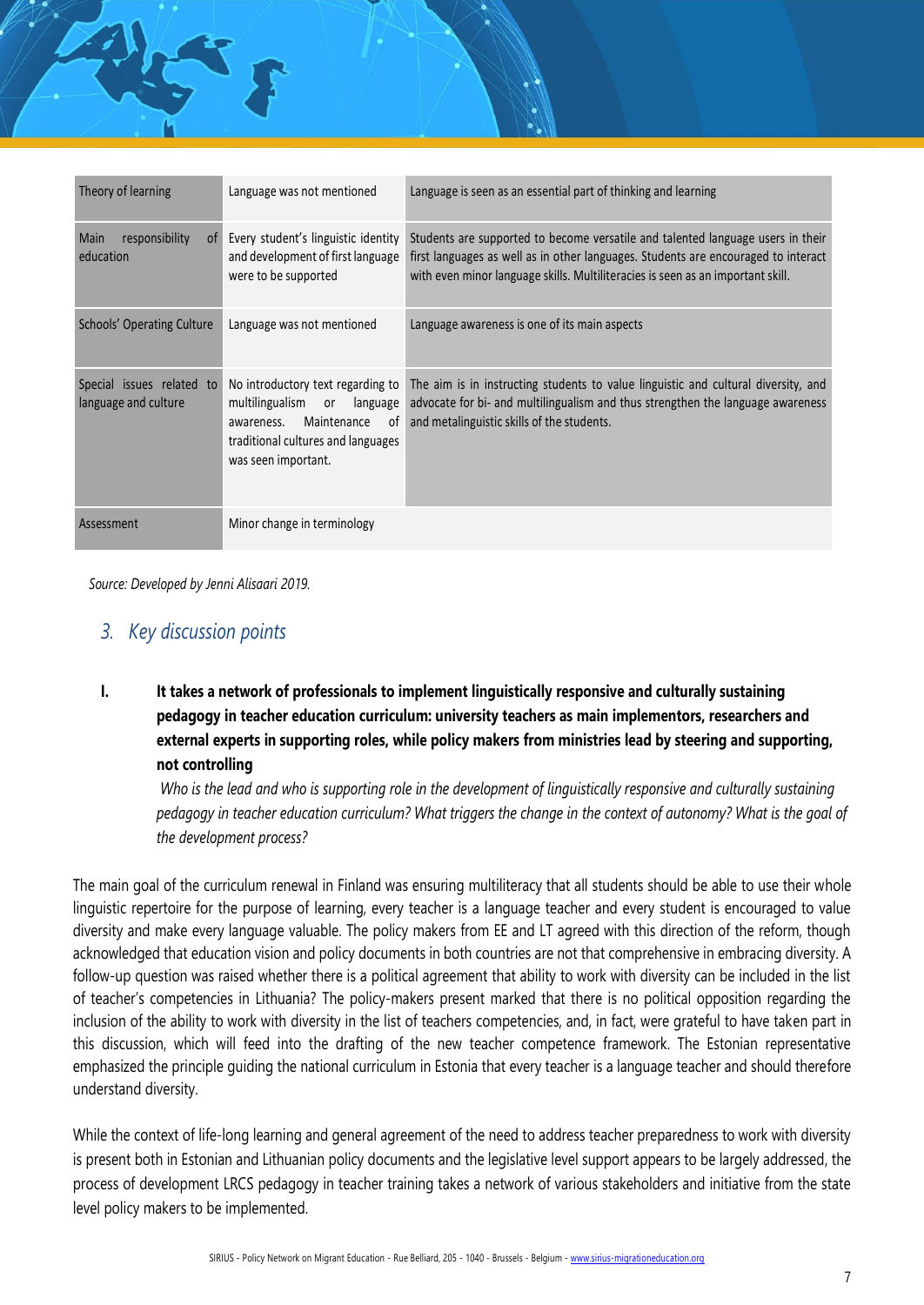| Theory of learning                                | Language was not mentioned                                                                                                                                             | Language is seen as an essential part of thinking and learning                                                                                                                                                                                           |
|---------------------------------------------------|------------------------------------------------------------------------------------------------------------------------------------------------------------------------|----------------------------------------------------------------------------------------------------------------------------------------------------------------------------------------------------------------------------------------------------------|
|                                                   |                                                                                                                                                                        |                                                                                                                                                                                                                                                          |
| Main<br>responsibility<br>0t<br>education         | Every student's linguistic identity<br>and development of first language<br>were to be supported                                                                       | Students are supported to become versatile and talented language users in their<br>first languages as well as in other languages. Students are encouraged to interact<br>with even minor language skills. Multiliteracies is seen as an important skill. |
| Schools' Operating Culture                        | Language was not mentioned                                                                                                                                             | Language awareness is one of its main aspects                                                                                                                                                                                                            |
| Special issues related to<br>language and culture | No introductory text regarding to<br>multilingualism<br>language<br>or<br>Maintenance<br>0f<br>awareness.<br>traditional cultures and languages<br>was seen important. | The aim is in instructing students to value linguistic and cultural diversity, and<br>advocate for bi- and multilingualism and thus strengthen the language awareness<br>and metalinguistic skills of the students.                                      |
| Assessment                                        | Minor change in terminology                                                                                                                                            |                                                                                                                                                                                                                                                          |

*Source: Developed by Jenni Alisaari 2019.*

孔子

# *3. Key discussion points*

**I. It takes a network of professionals to implement linguistically responsive and culturally sustaining pedagogy in teacher education curriculum: university teachers as main implementors, researchers and external experts in supporting roles, while policy makers from ministries lead by steering and supporting, not controlling** 

Who is the lead and who is supporting role in the development of linguistically responsive and culturally sustaining *pedagogy in teacher education curriculum? What triggers the change in the context of autonomy? What is the goal of the development process?*

The main goal of the curriculum renewal in Finland was ensuring multiliteracy that all students should be able to use their whole linguistic repertoire for the purpose of learning, every teacher is a language teacher and every student is encouraged to value diversity and make every language valuable. The policy makers from EE and LT agreed with this direction of the reform, though acknowledged that education vision and policy documents in both countries are not that comprehensive in embracing diversity. A follow-up question was raised whether there is a political agreement that ability to work with diversity can be included in the list of teacher's competencies in Lithuania? The policy-makers present marked that there is no political opposition regarding the inclusion of the ability to work with diversity in the list of teachers competencies, and, in fact, were grateful to have taken part in this discussion, which will feed into the drafting of the new teacher competence framework. The Estonian representative emphasized the principle guiding the national curriculum in Estonia that every teacher is a language teacher and should therefore understand diversity.

While the context of life-long learning and general agreement of the need to address teacher preparedness to work with diversity is present both in Estonian and Lithuanian policy documents and the legislative level support appears to be largely addressed, the process of development LRCS pedagogy in teacher training takes a network of various stakeholders and initiative from the state level policy makers to be implemented.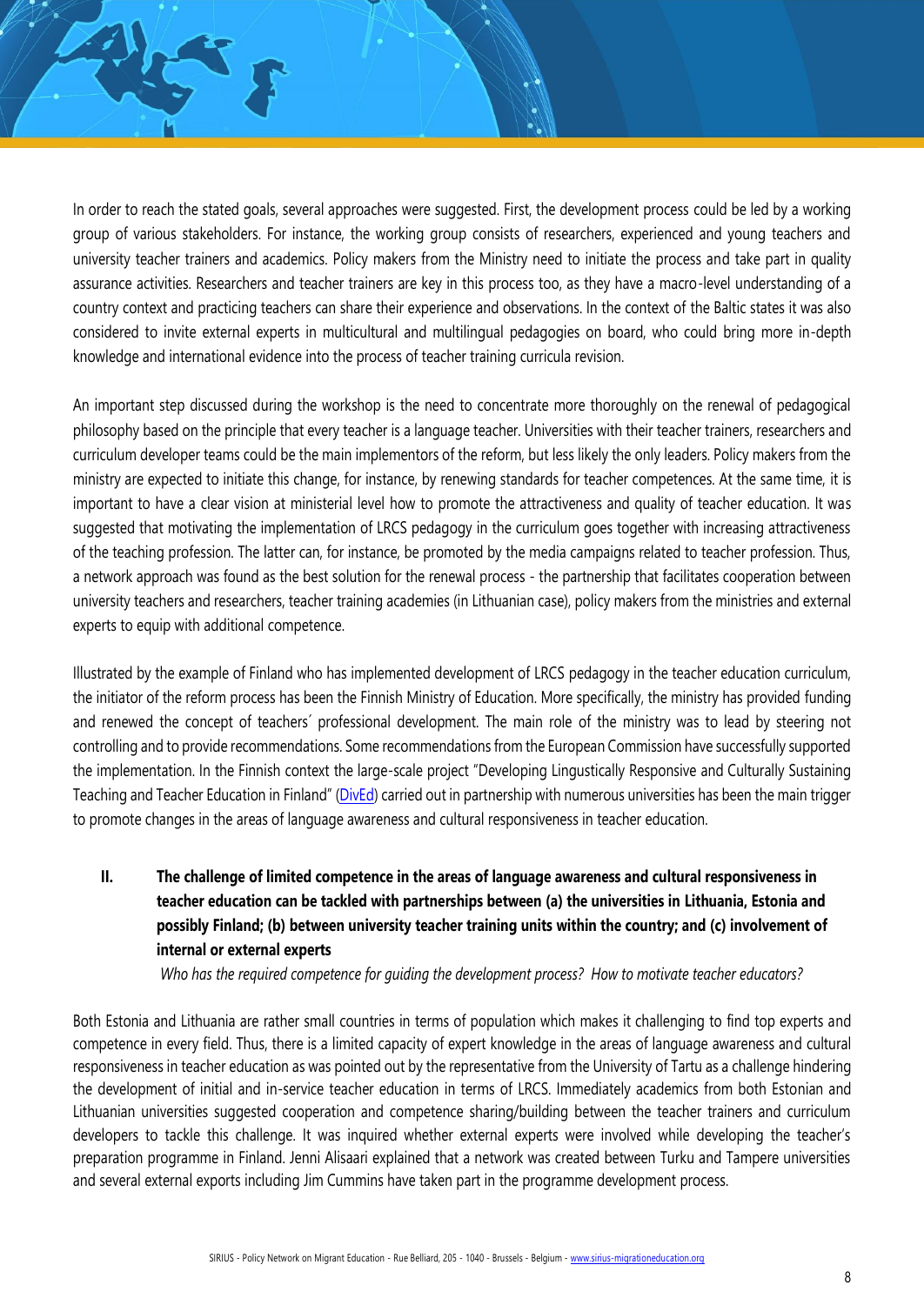In order to reach the stated goals, several approaches were suggested. First, the development process could be led by a working group of various stakeholders. For instance, the working group consists of researchers, experienced and young teachers and university teacher trainers and academics. Policy makers from the Ministry need to initiate the process and take part in quality assurance activities. Researchers and teacher trainers are key in this process too, as they have a macro-level understanding of a country context and practicing teachers can share their experience and observations. In the context of the Baltic states it was also considered to invite external experts in multicultural and multilingual pedagogies on board, who could bring more in-depth knowledge and international evidence into the process of teacher training curricula revision.

An important step discussed during the workshop is the need to concentrate more thoroughly on the renewal of pedagogical philosophy based on the principle that every teacher is a language teacher. Universities with their teacher trainers, researchers and curriculum developer teams could be the main implementors of the reform, but less likely the only leaders. Policy makers from the ministry are expected to initiate this change, for instance, by renewing standards for teacher competences. At the same time, it is important to have a clear vision at ministerial level how to promote the attractiveness and quality of teacher education. It was suggested that motivating the implementation of LRCS pedagogy in the curriculum goes together with increasing attractiveness of the teaching profession. The latter can, for instance, be promoted by the media campaigns related to teacher profession. Thus, a network approach was found as the best solution for the renewal process - the partnership that facilitates cooperation between university teachers and researchers, teacher training academies (in Lithuanian case), policy makers from the ministries and external experts to equip with additional competence.

Illustrated by the example of Finland who has implemented development of LRCS pedagogy in the teacher education curriculum, the initiator of the reform process has been the Finnish Ministry of Education. More specifically, the ministry has provided funding and renewed the concept of teachers´ professional development. The main role of the ministry was to lead by steering not controlling and to provide recommendations. Some recommendations from the European Commission have successfully supported the implementation. In the Finnish context the large-scale project "Developing Lingustically Responsive and Culturally Sustaining Teaching and Teacher Education in Finland" ([DivEd\)](http://dived.fi/en/) carried out in partnership with numerous universities has been the main trigger to promote changes in the areas of language awareness and cultural responsiveness in teacher education.

**II. The challenge of limited competence in the areas of language awareness and cultural responsiveness in teacher education can be tackled with partnerships between (a) the universities in Lithuania, Estonia and possibly Finland; (b) between university teacher training units within the country; and (c) involvement of internal or external experts**

*Who has the required competence for guiding the development process? How to motivate teacher educators?*

Both Estonia and Lithuania are rather small countries in terms of population which makes it challenging to find top experts and competence in every field. Thus, there is a limited capacity of expert knowledge in the areas of language awareness and cultural responsiveness in teacher education as was pointed out by the representative from the University of Tartu as a challenge hindering the development of initial and in-service teacher education in terms of LRCS. Immediately academics from both Estonian and Lithuanian universities suggested cooperation and competence sharing/building between the teacher trainers and curriculum developers to tackle this challenge. It was inquired whether external experts were involved while developing the teacher's preparation programme in Finland. Jenni Alisaari explained that a network was created between Turku and Tampere universities and several external exports including Jim Cummins have taken part in the programme development process.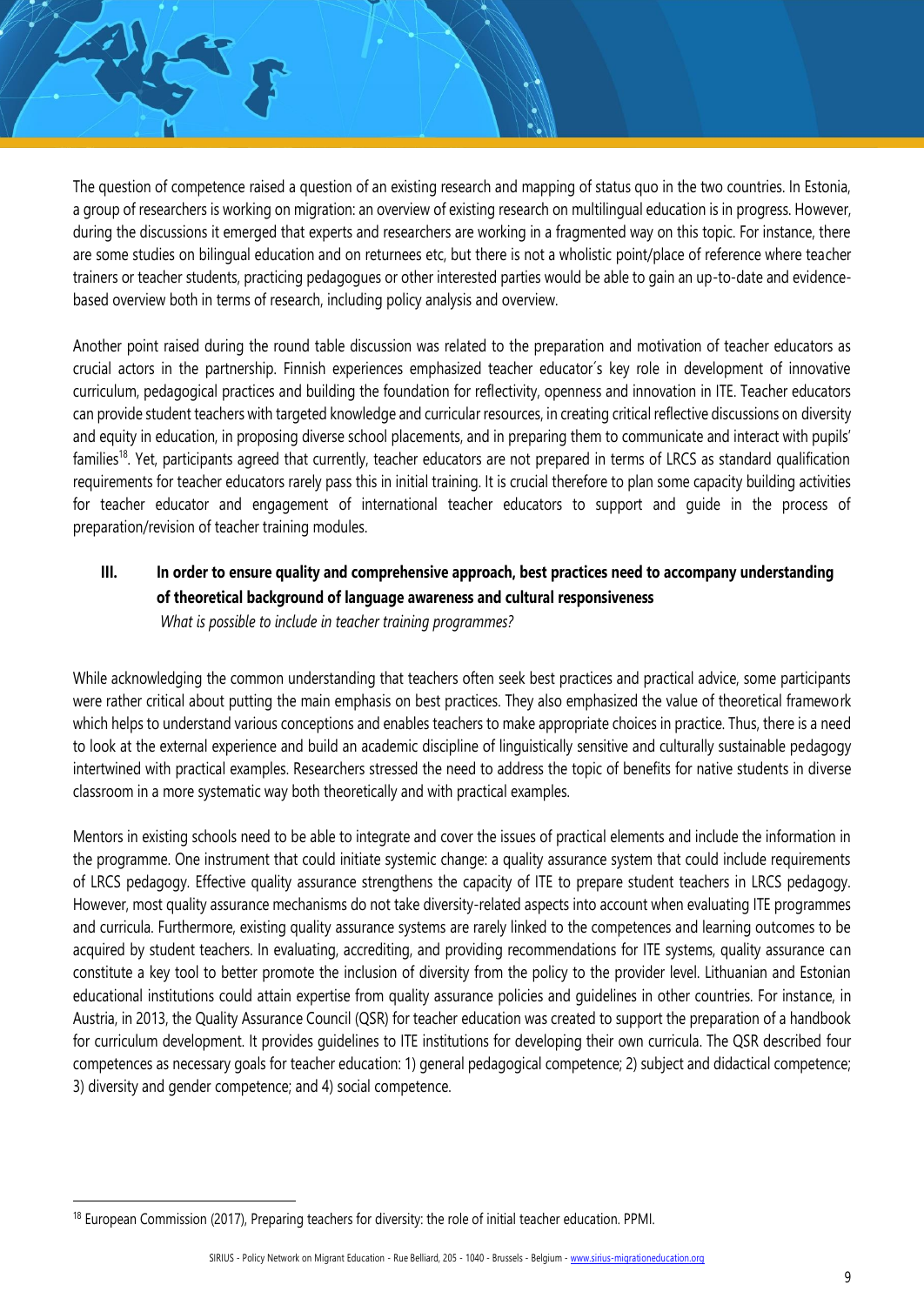The question of competence raised a question of an existing research and mapping of status quo in the two countries. In Estonia, a group of researchers is working on migration: an overview of existing research on multilingual education is in progress. However, during the discussions it emerged that experts and researchers are working in a fragmented way on this topic. For instance, there are some studies on bilingual education and on returnees etc, but there is not a wholistic point/place of reference where teacher trainers or teacher students, practicing pedagogues or other interested parties would be able to gain an up-to-date and evidencebased overview both in terms of research, including policy analysis and overview.

Another point raised during the round table discussion was related to the preparation and motivation of teacher educators as crucial actors in the partnership. Finnish experiences emphasized teacher educator´s key role in development of innovative curriculum, pedagogical practices and building the foundation for reflectivity, openness and innovation in ITE. Teacher educators can provide student teachers with targeted knowledge and curricular resources, in creating critical reflective discussions on diversity and equity in education, in proposing diverse school placements, and in preparing them to communicate and interact with pupils' families<sup>18</sup>. Yet, participants agreed that currently, teacher educators are not prepared in terms of LRCS as standard qualification requirements for teacher educators rarely pass this in initial training. It is crucial therefore to plan some capacity building activities for teacher educator and engagement of international teacher educators to support and guide in the process of preparation/revision of teacher training modules.

# **III. In order to ensure quality and comprehensive approach, best practices need to accompany understanding of theoretical background of language awareness and cultural responsiveness**

*What is possible to include in teacher training programmes?*

While acknowledging the common understanding that teachers often seek best practices and practical advice, some participants were rather critical about putting the main emphasis on best practices. They also emphasized the value of theoretical framework which helps to understand various conceptions and enables teachers to make appropriate choices in practice. Thus, there is a need to look at the external experience and build an academic discipline of linguistically sensitive and culturally sustainable pedagogy intertwined with practical examples. Researchers stressed the need to address the topic of benefits for native students in diverse classroom in a more systematic way both theoretically and with practical examples.

Mentors in existing schools need to be able to integrate and cover the issues of practical elements and include the information in the programme. One instrument that could initiate systemic change: a quality assurance system that could include requirements of LRCS pedagogy. Effective quality assurance strengthens the capacity of ITE to prepare student teachers in LRCS pedagogy. However, most quality assurance mechanisms do not take diversity-related aspects into account when evaluating ITE programmes and curricula. Furthermore, existing quality assurance systems are rarely linked to the competences and learning outcomes to be acquired by student teachers. In evaluating, accrediting, and providing recommendations for ITE systems, quality assurance can constitute a key tool to better promote the inclusion of diversity from the policy to the provider level. Lithuanian and Estonian educational institutions could attain expertise from quality assurance policies and guidelines in other countries. For instance, in Austria, in 2013, the Quality Assurance Council (QSR) for teacher education was created to support the preparation of a handbook for curriculum development. It provides guidelines to ITE institutions for developing their own curricula. The QSR described four competences as necessary goals for teacher education: 1) general pedagogical competence; 2) subject and didactical competence; 3) diversity and gender competence; and 4) social competence.

<sup>&</sup>lt;sup>18</sup> European Commission (2017), Preparing teachers for diversity: the role of initial teacher education. PPMI.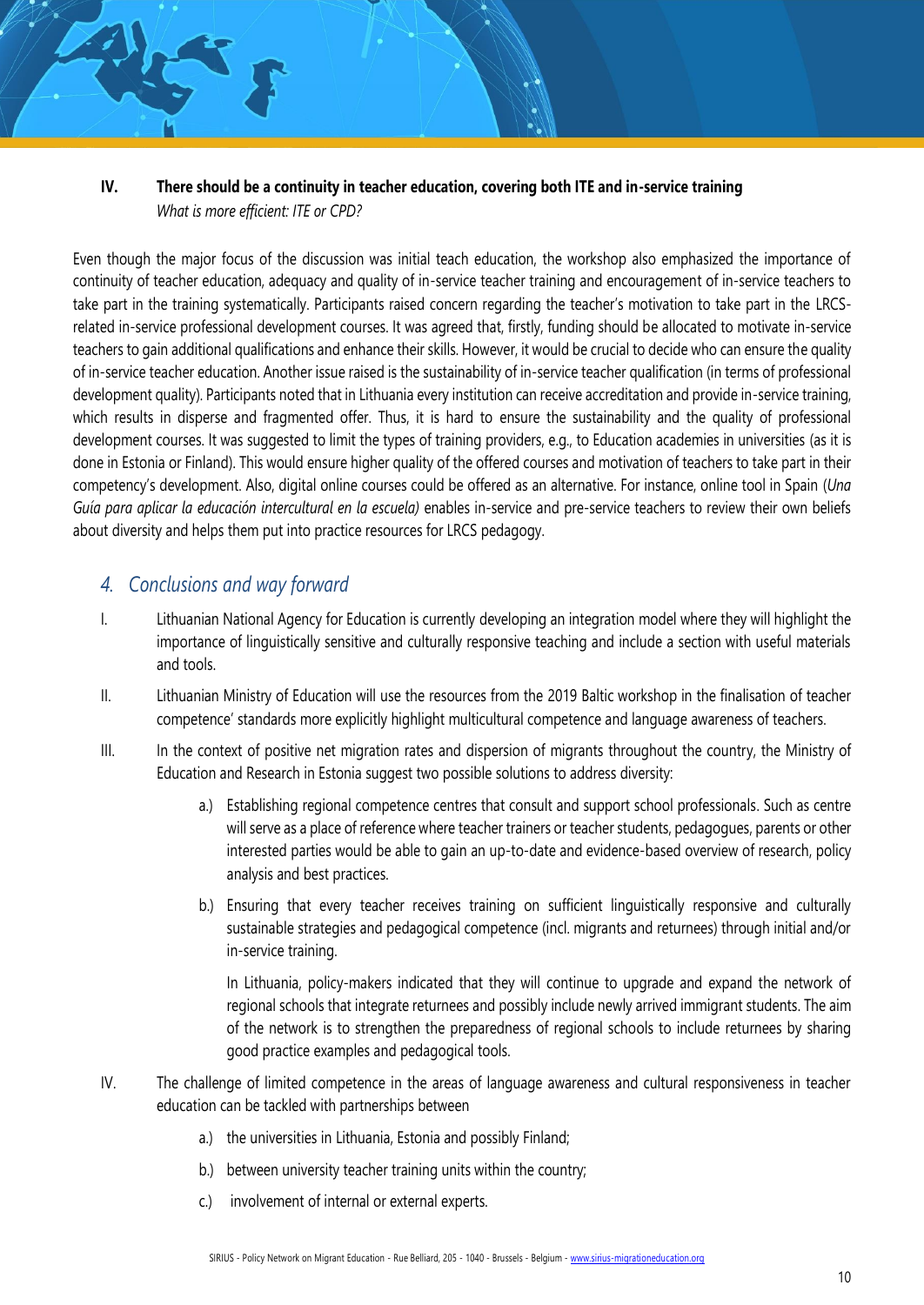### **IV. There should be a continuity in teacher education, covering both ITE and in-service training**  *What is more efficient: ITE or CPD?*

Even though the major focus of the discussion was initial teach education, the workshop also emphasized the importance of continuity of teacher education, adequacy and quality of in-service teacher training and encouragement of in-service teachers to take part in the training systematically. Participants raised concern regarding the teacher's motivation to take part in the LRCSrelated in-service professional development courses. It was agreed that, firstly, funding should be allocated to motivate in-service teachers to gain additional qualifications and enhance their skills. However, it would be crucial to decide who can ensure the quality of in-service teacher education. Another issue raised is the sustainability of in-service teacher qualification (in terms of professional development quality). Participants noted that in Lithuania every institution can receive accreditation and provide in-service training, which results in disperse and fragmented offer. Thus, it is hard to ensure the sustainability and the quality of professional development courses. It was suggested to limit the types of training providers, e.g., to Education academies in universities (as it is done in Estonia or Finland). This would ensure higher quality of the offered courses and motivation of teachers to take part in their competency's development. Also, digital online courses could be offered as an alternative. For instance, online tool in Spain (*Una Guía para aplicar la educación intercultural en la escuela)* enables in-service and pre-service teachers to review their own beliefs about diversity and helps them put into practice resources for LRCS pedagogy.

## *4. Conclusions and way forward*

- I. Lithuanian National Agency for Education is currently developing an integration model where they will highlight the importance of linguistically sensitive and culturally responsive teaching and include a section with useful materials and tools.
- II. Lithuanian Ministry of Education will use the resources from the 2019 Baltic workshop in the finalisation of teacher competence' standards more explicitly highlight multicultural competence and language awareness of teachers.
- III. In the context of positive net migration rates and dispersion of migrants throughout the country, the Ministry of Education and Research in Estonia suggest two possible solutions to address diversity:
	- a.) Establishing regional competence centres that consult and support school professionals. Such as centre will serve as a place of reference where teacher trainers or teacher students, pedagogues, parents or other interested parties would be able to gain an up-to-date and evidence-based overview of research, policy analysis and best practices.
	- b.) Ensuring that every teacher receives training on sufficient linguistically responsive and culturally sustainable strategies and pedagogical competence (incl. migrants and returnees) through initial and/or in-service training.

In Lithuania, policy-makers indicated that they will continue to upgrade and expand the network of regional schools that integrate returnees and possibly include newly arrived immigrant students. The aim of the network is to strengthen the preparedness of regional schools to include returnees by sharing good practice examples and pedagogical tools.

- IV. The challenge of limited competence in the areas of language awareness and cultural responsiveness in teacher education can be tackled with partnerships between
	- a.) the universities in Lithuania, Estonia and possibly Finland;
	- b.) between university teacher training units within the country;
	- c.) involvement of internal or external experts.